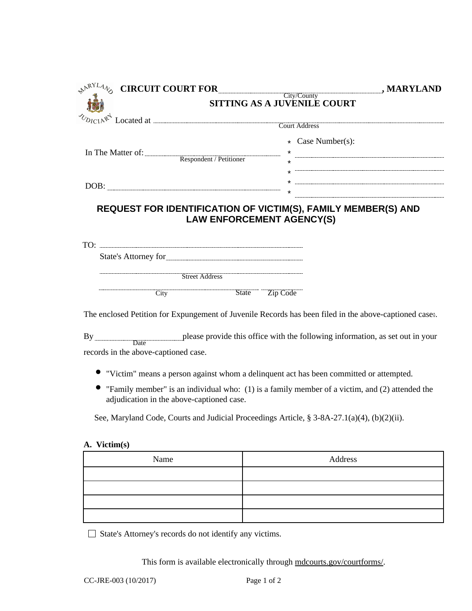| <b>NARYLAN</b> |                                                                                                                                                                                                                                |                             |                                                                                                         |
|----------------|--------------------------------------------------------------------------------------------------------------------------------------------------------------------------------------------------------------------------------|-----------------------------|---------------------------------------------------------------------------------------------------------|
|                |                                                                                                                                                                                                                                | SITTING AS A JUVENILE COURT |                                                                                                         |
|                |                                                                                                                                                                                                                                |                             | $x^4$ Located at $\overline{\phantom{a}}$ Court Address                                                 |
|                |                                                                                                                                                                                                                                |                             |                                                                                                         |
|                |                                                                                                                                                                                                                                |                             | * Case Number(s):                                                                                       |
|                |                                                                                                                                                                                                                                |                             | In The Matter of: $\frac{1}{\text{Respondent}}$ / Petitioner $\frac{1}{\text{Respondent}}$ / Petitioner |
|                |                                                                                                                                                                                                                                |                             |                                                                                                         |
|                |                                                                                                                                                                                                                                |                             |                                                                                                         |
|                |                                                                                                                                                                                                                                |                             |                                                                                                         |
|                |                                                                                                                                                                                                                                |                             |                                                                                                         |
|                |                                                                                                                                                                                                                                |                             |                                                                                                         |
|                | Exercise Contract Contract Contract Contract Contract Contract Contract Contract Contract Contract Contract Contract Contract Contract Contract Contract Contract Contract Contract Contract Contract Contract Contract Contra |                             |                                                                                                         |
|                | <b>Example 2</b> City State Zip Code                                                                                                                                                                                           |                             |                                                                                                         |
|                |                                                                                                                                                                                                                                |                             | The enclosed Petition for Expungement of Juvenile Records has been filed in the above-captioned case.   |
|                |                                                                                                                                                                                                                                |                             | By <u>Date</u> Date Date provide this office with the following information, as set out in your         |

records in the above-captioned case.

- ords in the above-captioned case.<br>
"Victim" means a person against whom a delinquent act has been committed or attempted.
- "Family member" is an individual who: (1) is a family member of a victim, and (2) attended the . adjudication in the above-captioned case.

See, Maryland Code, Courts and Judicial Proceedings Article, § 3-8A-27.1(a)(4), (b)(2)(ii).

## **A. Victim(s)**

| Name | Address |  |
|------|---------|--|
|      |         |  |
|      |         |  |
|      |         |  |
|      |         |  |

State's Attorney's records do not identify any victims.

This form is available electronically through mdcourts.gov/courtforms/.